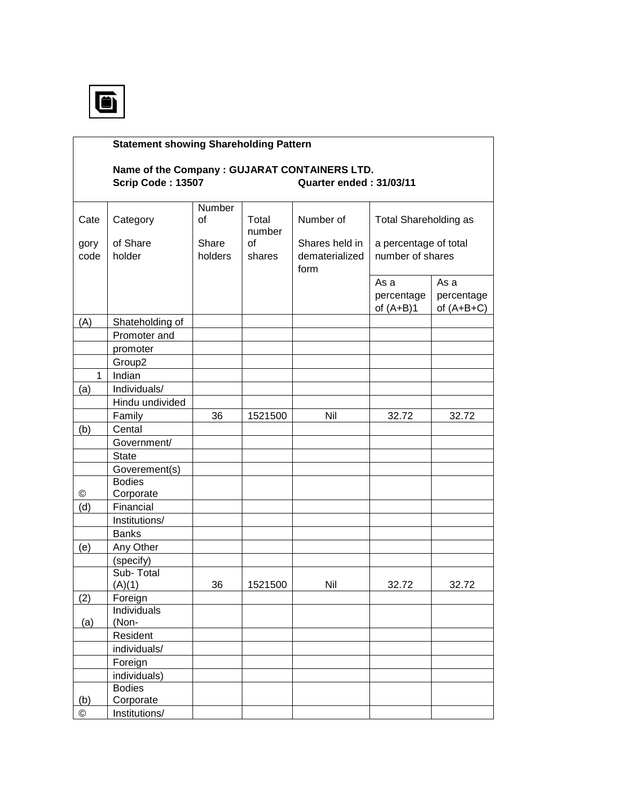

©

(b)

 Foreign individuals)

**Bodies** Corporate © Institutions/

## **Statement showing Shareholding Pattern Name of the Company : GUJARAT CONTAINERS LTD. Scrip Code : 13507 Quarter ended : 31/03/11**  Cate | Category **Number** of Total Number of Total Shareholding as gory of Share Share number of  $\blacksquare$  Shares held in a percentage of total code holder holders shares dematerialized number of shares form the contract of the contract of the contract of the contract of the contract of the contract of the contract of the contract of the contract of the contract of the contract of the contract of the contract of the contr As a As a  $percentage$  percentage of  $(A+B)1$  of  $(A+B+C)$ (A) Shateholding of Promoter and promoter Group2 1 Indian  $(a)$  | Individuals/ Hindu undivided Family | 36 | 1521500 | Nil | 32.72 | 32.72 (b) Cental Government/ State Goverement(s) Bodies Corporate (d) Financial Institutions/ Banks (e) Any Other (specify) Sub-Total  $(A)(1)$  36 | 1521500 | Nil | 32.72 | 32.72 (2) Foreign (a) **Individuals** (Non- Resident individuals/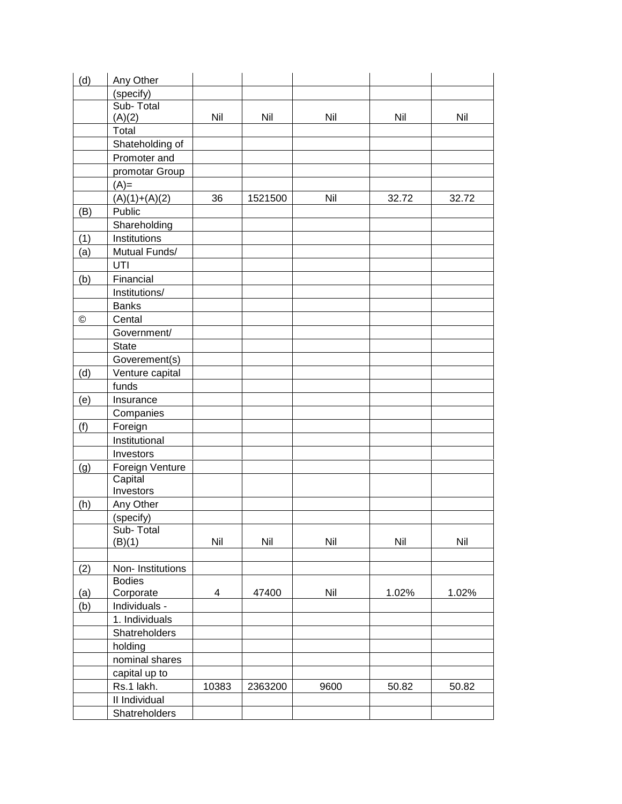| (d) | Any Other        |       |         |      |       |       |
|-----|------------------|-------|---------|------|-------|-------|
|     | (specify)        |       |         |      |       |       |
|     | Sub-Total        |       |         |      |       |       |
|     | (A)(2)           | Nil   | Nil     | Nil  | Nil   | Nil   |
|     | Total            |       |         |      |       |       |
|     | Shateholding of  |       |         |      |       |       |
|     | Promoter and     |       |         |      |       |       |
|     | promotar Group   |       |         |      |       |       |
|     | $(A)=$           |       |         |      |       |       |
|     | $(A)(1)+(A)(2)$  | 36    | 1521500 | Nil  | 32.72 | 32.72 |
| (B) | Public           |       |         |      |       |       |
|     | Shareholding     |       |         |      |       |       |
| (1) | Institutions     |       |         |      |       |       |
| (a) | Mutual Funds/    |       |         |      |       |       |
|     | UTI              |       |         |      |       |       |
| (b) | Financial        |       |         |      |       |       |
|     | Institutions/    |       |         |      |       |       |
|     | <b>Banks</b>     |       |         |      |       |       |
| ©   | Cental           |       |         |      |       |       |
|     | Government/      |       |         |      |       |       |
|     | <b>State</b>     |       |         |      |       |       |
|     | Goverement(s)    |       |         |      |       |       |
| (d) | Venture capital  |       |         |      |       |       |
|     | funds            |       |         |      |       |       |
| (e) | Insurance        |       |         |      |       |       |
|     | Companies        |       |         |      |       |       |
| (f) | Foreign          |       |         |      |       |       |
|     | Institutional    |       |         |      |       |       |
|     | Investors        |       |         |      |       |       |
| (g) | Foreign Venture  |       |         |      |       |       |
|     | Capital          |       |         |      |       |       |
|     | Investors        |       |         |      |       |       |
| (h) | Any Other        |       |         |      |       |       |
|     | (specify)        |       |         |      |       |       |
|     | Sub-Total        |       |         |      |       |       |
|     | (B)(1)           | Nil   | Nil     | Nil  | Nil   | Nil   |
|     |                  |       |         |      |       |       |
| (2) | Non-Institutions |       |         |      |       |       |
|     | <b>Bodies</b>    |       |         |      |       |       |
| (a) | Corporate        | 4     | 47400   | Nil  | 1.02% | 1.02% |
| (b) | Individuals -    |       |         |      |       |       |
|     | 1. Individuals   |       |         |      |       |       |
|     | Shatreholders    |       |         |      |       |       |
|     | holding          |       |         |      |       |       |
|     | nominal shares   |       |         |      |       |       |
|     | capital up to    |       |         |      |       |       |
|     | Rs.1 lakh.       | 10383 | 2363200 | 9600 | 50.82 | 50.82 |
|     | II Individual    |       |         |      |       |       |
|     | Shatreholders    |       |         |      |       |       |